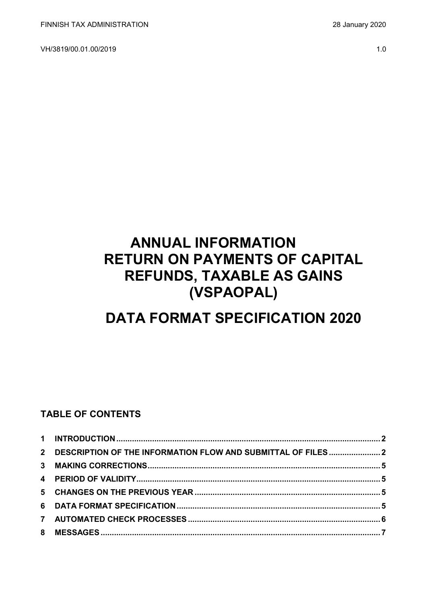VH/3819/00.01.00/2019 1.0

# **ANNUAL INFORMATION RETURN ON PAYMENTS OF CAPITAL REFUNDS, TAXABLE AS GAINS (VSPAOPAL)**

# **DATA FORMAT SPECIFICATION 2020**

### **TABLE OF CONTENTS**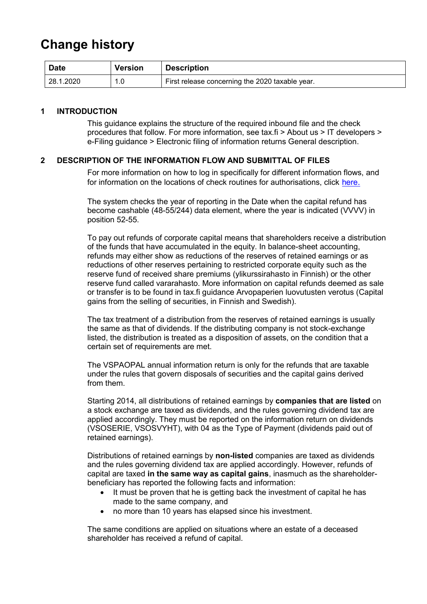## **Change history**

| <b>Date</b> | <b>Version</b> | <b>Description</b>                              |
|-------------|----------------|-------------------------------------------------|
| 28.1.2020   | ں .            | First release concerning the 2020 taxable year. |

#### <span id="page-1-0"></span>**1 INTRODUCTION**

This guidance explains the structure of the required inbound file and the check procedures that follow. For more information, see tax.fi > About us > IT developers > e-Filing guidance > Electronic filing of information returns General description.

#### <span id="page-1-1"></span>**2 DESCRIPTION OF THE INFORMATION FLOW AND SUBMITTAL OF FILES**

For more information on how to log in specifically for different information flows, and for information on the locations of check routines for authorisations, click [here](https://www.ilmoitin.fi/webtamo/sivut/IlmoituslajiRoolit?kieli=en&tv=VSPAOPAL).

The system checks the year of reporting in the Date when the capital refund has become cashable (48-55/244) data element, where the year is indicated (VVVV) in position 52-55.

To pay out refunds of corporate capital means that shareholders receive a distribution of the funds that have accumulated in the equity. In balance-sheet accounting, refunds may either show as reductions of the reserves of retained earnings or as reductions of other reserves pertaining to restricted corporate equity such as the reserve fund of received share premiums (ylikurssirahasto in Finnish) or the other reserve fund called vararahasto. More information on capital refunds deemed as sale or transfer is to be found in tax.fi guidance Arvopaperien luovutusten verotus (Capital gains from the selling of securities, in Finnish and Swedish).

The tax treatment of a distribution from the reserves of retained earnings is usually the same as that of dividends. If the distributing company is not stock-exchange listed, the distribution is treated as a disposition of assets, on the condition that a certain set of requirements are met.

The VSPAOPAL annual information return is only for the refunds that are taxable under the rules that govern disposals of securities and the capital gains derived from them.

Starting 2014, all distributions of retained earnings by **companies that are listed** on a stock exchange are taxed as dividends, and the rules governing dividend tax are applied accordingly. They must be reported on the information return on dividends (VSOSERIE, VSOSVYHT), with 04 as the Type of Payment (dividends paid out of retained earnings).

Distributions of retained earnings by **non-listed** companies are taxed as dividends and the rules governing dividend tax are applied accordingly. However, refunds of capital are taxed **in the same way as capital gains**, inasmuch as the shareholderbeneficiary has reported the following facts and information:

- It must be proven that he is getting back the investment of capital he has made to the same company, and
- no more than 10 years has elapsed since his investment.

The same conditions are applied on situations where an estate of a deceased shareholder has received a refund of capital.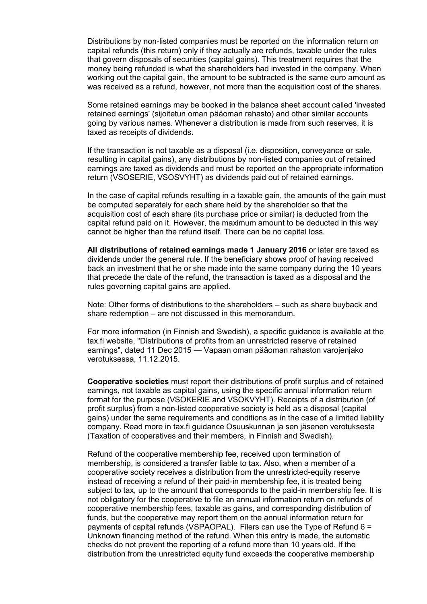Distributions by non-listed companies must be reported on the information return on capital refunds (this return) only if they actually are refunds, taxable under the rules that govern disposals of securities (capital gains). This treatment requires that the money being refunded is what the shareholders had invested in the company. When working out the capital gain, the amount to be subtracted is the same euro amount as was received as a refund, however, not more than the acquisition cost of the shares.

Some retained earnings may be booked in the balance sheet account called 'invested retained earnings' (sijoitetun oman pääoman rahasto) and other similar accounts going by various names. Whenever a distribution is made from such reserves, it is taxed as receipts of dividends.

If the transaction is not taxable as a disposal (i.e. disposition, conveyance or sale, resulting in capital gains), any distributions by non-listed companies out of retained earnings are taxed as dividends and must be reported on the appropriate information return (VSOSERIE, VSOSVYHT) as dividends paid out of retained earnings.

In the case of capital refunds resulting in a taxable gain, the amounts of the gain must be computed separately for each share held by the shareholder so that the acquisition cost of each share (its purchase price or similar) is deducted from the capital refund paid on it. However, the maximum amount to be deducted in this way cannot be higher than the refund itself. There can be no capital loss.

**All distributions of retained earnings made 1 January 2016** or later are taxed as dividends under the general rule. If the beneficiary shows proof of having received back an investment that he or she made into the same company during the 10 years that precede the date of the refund, the transaction is taxed as a disposal and the rules governing capital gains are applied.

Note: Other forms of distributions to the shareholders – such as share buyback and share redemption – are not discussed in this memorandum.

For more information (in Finnish and Swedish), a specific guidance is available at the tax.fi website, "Distributions of profits from an unrestricted reserve of retained earnings", dated 11 Dec 2015 — Vapaan oman pääoman rahaston varojenjako verotuksessa, 11.12.2015.

**Cooperative societies** must report their distributions of profit surplus and of retained earnings, not taxable as capital gains, using the specific annual information return format for the purpose (VSOKERIE and VSOKVYHT). Receipts of a distribution (of profit surplus) from a non-listed cooperative society is held as a disposal (capital gains) under the same requirements and conditions as in the case of a limited liability company. Read more in tax.fi guidance Osuuskunnan ja sen jäsenen verotuksesta (Taxation of cooperatives and their members, in Finnish and Swedish).

Refund of the cooperative membership fee, received upon termination of membership, is considered a transfer liable to tax. Also, when a member of a cooperative society receives a distribution from the unrestricted-equity reserve instead of receiving a refund of their paid-in membership fee, it is treated being subject to tax, up to the amount that corresponds to the paid-in membership fee. It is not obligatory for the cooperative to file an annual information return on refunds of cooperative membership fees, taxable as gains, and corresponding distribution of funds, but the cooperative may report them on the annual information return for payments of capital refunds (VSPAOPAL). Filers can use the Type of Refund 6 = Unknown financing method of the refund. When this entry is made, the automatic checks do not prevent the reporting of a refund more than 10 years old. If the distribution from the unrestricted equity fund exceeds the cooperative membership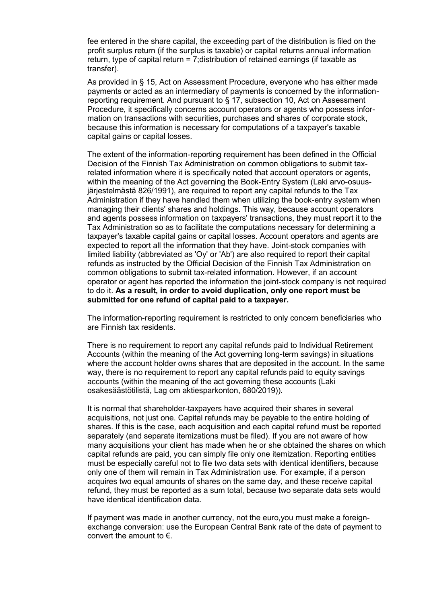fee entered in the share capital, the exceeding part of the distribution is filed on the profit surplus return (if the surplus is taxable) or capital returns annual information return, type of capital return = 7;distribution of retained earnings (if taxable as transfer).

As provided in § 15, Act on Assessment Procedure, everyone who has either made payments or acted as an intermediary of payments is concerned by the informationreporting requirement. And pursuant to § 17, subsection 10, Act on Assessment Procedure, it specifically concerns account operators or agents who possess information on transactions with securities, purchases and shares of corporate stock, because this information is necessary for computations of a taxpayer's taxable capital gains or capital losses.

The extent of the information-reporting requirement has been defined in the Official Decision of the Finnish Tax Administration on common obligations to submit taxrelated information where it is specifically noted that account operators or agents, within the meaning of the Act governing the Book-Entry System (Laki arvo-osuusjärjestelmästä 826/1991), are required to report any capital refunds to the Tax Administration if they have handled them when utilizing the book-entry system when managing their clients' shares and holdings. This way, because account operators and agents possess information on taxpayers' transactions, they must report it to the Tax Administration so as to facilitate the computations necessary for determining a taxpayer's taxable capital gains or capital losses. Account operators and agents are expected to report all the information that they have. Joint-stock companies with limited liability (abbreviated as 'Oy' or 'Ab') are also required to report their capital refunds as instructed by the Official Decision of the Finnish Tax Administration on common obligations to submit tax-related information. However, if an account operator or agent has reported the information the joint-stock company is not required to do it. **As a result, in order to avoid duplication, only one report must be submitted for one refund of capital paid to a taxpayer.**

The information-reporting requirement is restricted to only concern beneficiaries who are Finnish tax residents.

There is no requirement to report any capital refunds paid to Individual Retirement Accounts (within the meaning of the Act governing long-term savings) in situations where the account holder owns shares that are deposited in the account. In the same way, there is no requirement to report any capital refunds paid to equity savings accounts (within the meaning of the act governing these accounts (Laki osakesäästötilistä, Lag om aktiesparkonton, 680/2019)).

It is normal that shareholder-taxpayers have acquired their shares in several acquisitions, not just one. Capital refunds may be payable to the entire holding of shares. If this is the case, each acquisition and each capital refund must be reported separately (and separate itemizations must be filed). If you are not aware of how many acquisitions your client has made when he or she obtained the shares on which capital refunds are paid, you can simply file only one itemization. Reporting entities must be especially careful not to file two data sets with identical identifiers, because only one of them will remain in Tax Administration use. For example, if a person acquires two equal amounts of shares on the same day, and these receive capital refund, they must be reported as a sum total, because two separate data sets would have identical identification data.

If payment was made in another currency, not the euro,you must make a foreignexchange conversion: use the European Central Bank rate of the date of payment to convert the amount to  $\epsilon$ .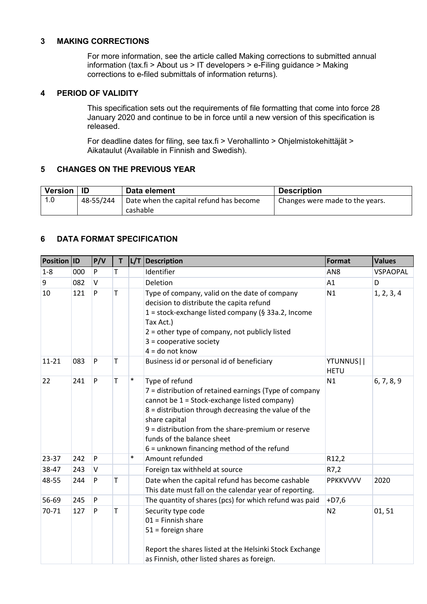#### <span id="page-4-0"></span>**3 MAKING CORRECTIONS**

For more information, see the article called Making corrections to submitted annual information (tax.fi > About us > IT developers > e-Filing guidance > Making corrections to e-filed submittals of information returns).

#### <span id="page-4-1"></span>**4 PERIOD OF VALIDITY**

This specification sets out the requirements of file formatting that come into force 28 January 2020 and continue to be in force until a new version of this specification is released.

For deadline dates for filing, see tax.fi > Verohallinto > Ohjelmistokehittäjät > Aikataulut (Available in Finnish and Swedish).

#### <span id="page-4-2"></span>**5 CHANGES ON THE PREVIOUS YEAR**

| Version   ID |           | Data element                            | <b>Description</b>              |
|--------------|-----------|-----------------------------------------|---------------------------------|
|              | 48-55/244 | Date when the capital refund has become | Changes were made to the years. |
|              |           | cashable                                |                                 |

#### <span id="page-4-3"></span>**6 DATA FORMAT SPECIFICATION**

| <b>Position ID</b> |     | P/V          | T |        | L/T   Description                                                                                                                                                                                                                                                                                                                       | <b>Format</b>            | <b>Values</b>   |
|--------------------|-----|--------------|---|--------|-----------------------------------------------------------------------------------------------------------------------------------------------------------------------------------------------------------------------------------------------------------------------------------------------------------------------------------------|--------------------------|-----------------|
| $1 - 8$            | 000 | P            | т |        | Identifier                                                                                                                                                                                                                                                                                                                              | AN <sub>8</sub>          | <b>VSPAOPAL</b> |
| 9                  | 082 | $\vee$       |   |        | Deletion                                                                                                                                                                                                                                                                                                                                | A1                       | D               |
| 10                 | 121 | P            | T |        | Type of company, valid on the date of company<br>decision to distribute the capita refund<br>1 = stock-exchange listed company (§ 33a.2, Income<br>Tax Act.)<br>2 = other type of company, not publicly listed<br>$3 =$ cooperative society<br>$4 =$ do not know                                                                        | N1                       | 1, 2, 3, 4      |
| $11 - 21$          | 083 | $\mathsf{P}$ | т |        | Business id or personal id of beneficiary                                                                                                                                                                                                                                                                                               | YTUNNUS  <br><b>HETU</b> |                 |
| 22                 | 241 | P            | Т | $\ast$ | Type of refund<br>7 = distribution of retained earnings (Type of company<br>cannot be 1 = Stock-exchange listed company)<br>8 = distribution through decreasing the value of the<br>share capital<br>$9$ = distribution from the share-premium or reserve<br>funds of the balance sheet<br>$6$ = unknown financing method of the refund | N1                       | 6, 7, 8, 9      |
| 23-37              | 242 | P            |   | $\ast$ | Amount refunded                                                                                                                                                                                                                                                                                                                         | R <sub>12</sub> ,2       |                 |
| 38-47              | 243 | V            |   |        | Foreign tax withheld at source                                                                                                                                                                                                                                                                                                          | R7,2                     |                 |
| 48-55              | 244 | P            | т |        | Date when the capital refund has become cashable<br>This date must fall on the calendar year of reporting.                                                                                                                                                                                                                              | <b>PPKKVVVV</b>          | 2020            |
| 56-69              | 245 | P            |   |        | The quantity of shares (pcs) for which refund was paid                                                                                                                                                                                                                                                                                  | $+D7,6$                  |                 |
| 70-71              | 127 | P            | T |        | Security type code<br>$01 =$ Finnish share<br>$51 =$ foreign share<br>Report the shares listed at the Helsinki Stock Exchange<br>as Finnish, other listed shares as foreign.                                                                                                                                                            | N <sub>2</sub>           | 01,51           |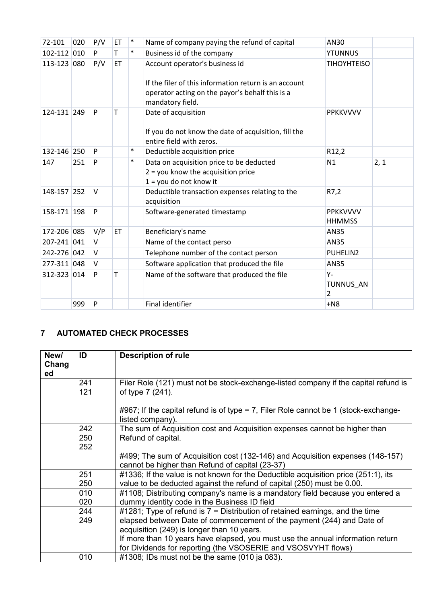| 72-101      | 020 | P/V    | ET        | $\ast$ | Name of company paying the refund of capital                                                                                                                   | AN30                             |      |
|-------------|-----|--------|-----------|--------|----------------------------------------------------------------------------------------------------------------------------------------------------------------|----------------------------------|------|
| 102-112 010 |     | P      | Т         | $\ast$ | Business id of the company                                                                                                                                     | <b>YTUNNUS</b>                   |      |
| 113-123 080 |     | P/V    | <b>ET</b> |        | Account operator's business id<br>If the filer of this information return is an account<br>operator acting on the payor's behalf this is a<br>mandatory field. | <b>TIHOYHTEISO</b>               |      |
| 124-131 249 |     | P      | Т         |        | Date of acquisition<br>If you do not know the date of acquisition, fill the<br>entire field with zeros.                                                        | <b>PPKKVVVV</b>                  |      |
| 132-146 250 |     | P      |           | $\ast$ | Deductible acquisition price                                                                                                                                   | R12,2                            |      |
| 147         | 251 | P      |           | $\ast$ | Data on acquisition price to be deducted<br>$2 =$ you know the acquisition price<br>$1 =$ you do not know it                                                   | N1                               | 2, 1 |
| 148-157 252 |     | V      |           |        | Deductible transaction expenses relating to the<br>acquisition                                                                                                 | R7,2                             |      |
| 158-171 198 |     | P      |           |        | Software-generated timestamp                                                                                                                                   | <b>PPKKVVVV</b><br><b>HHMMSS</b> |      |
| 172-206 085 |     | V/P    | ET        |        | Beneficiary's name                                                                                                                                             | <b>AN35</b>                      |      |
| 207-241 041 |     | $\vee$ |           |        | Name of the contact perso                                                                                                                                      | AN35                             |      |
| 242-276 042 |     | $\vee$ |           |        | Telephone number of the contact person                                                                                                                         | PUHELIN2                         |      |
| 277-311 048 |     | V      |           |        | Software application that produced the file                                                                                                                    | AN35                             |      |
| 312-323 014 |     | P      | т         |        | Name of the software that produced the file                                                                                                                    | Υ-<br>TUNNUS AN<br>$\mathcal{L}$ |      |
|             | 999 | P      |           |        | <b>Final identifier</b>                                                                                                                                        | $+N8$                            |      |

### <span id="page-5-0"></span>**7 AUTOMATED CHECK PROCESSES**

| New/<br>Chang<br>ed | ID         | <b>Description of rule</b>                                                                                                        |
|---------------------|------------|-----------------------------------------------------------------------------------------------------------------------------------|
|                     | 241<br>121 | Filer Role (121) must not be stock-exchange-listed company if the capital refund is<br>of type 7 (241).                           |
|                     |            | #967; If the capital refund is of type = 7, Filer Role cannot be 1 (stock-exchange-<br>listed company).                           |
|                     | 242        | The sum of Acquisition cost and Acquisition expenses cannot be higher than                                                        |
|                     | 250        | Refund of capital.                                                                                                                |
|                     | 252        |                                                                                                                                   |
|                     |            | #499; The sum of Acquisition cost (132-146) and Acquisition expenses (148-157)<br>cannot be higher than Refund of capital (23-37) |
|                     | 251        | #1336; If the value is not known for the Deductible acquisition price (251:1), its                                                |
|                     | 250        | value to be deducted against the refund of capital (250) must be 0.00.                                                            |
|                     | 010        | #1108; Distributing company's name is a mandatory field because you entered a                                                     |
|                     | 020        | dummy identity code in the Business ID field                                                                                      |
|                     | 244        | #1281; Type of refund is $7 =$ Distribution of retained earnings, and the time                                                    |
|                     | 249        | elapsed between Date of commencement of the payment (244) and Date of                                                             |
|                     |            | acquisition (249) is longer than 10 years.                                                                                        |
|                     |            | If more than 10 years have elapsed, you must use the annual information return                                                    |
|                     |            | for Dividends for reporting (the VSOSERIE and VSOSVYHT flows)                                                                     |
|                     | 010        | $\#1308$ ; IDs must not be the same (010 ja 083).                                                                                 |